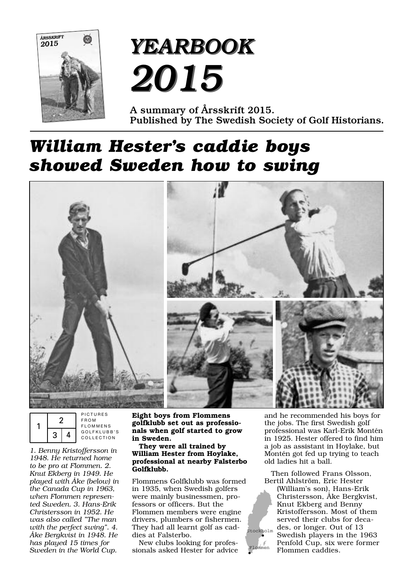

# *YEARBOOK YEARBOOK 2015 2015*

**A summary of Årsskrift 2015. Published by The Swedish Society of Golf Historians.**

# *William Hester's caddie boys showed Sweden how to swing*



|  |  |  | PICTURES<br><b>FROM</b><br><b>FLOMMENS</b> |
|--|--|--|--------------------------------------------|
|  |  |  | GOLFKLUBB'S<br>COLLECTION                  |

*1. Benny Kristoffersson in 1948. He returned home to be pro at Flommen. 2. Knut Ekberg in 1949. He played with Åke (below) in the Canada Cup in 1963, when Flommen represented Sweden. 3. Hans-Erik Christersson in 1952. He was also called "The man with the perfect swing". 4. Åke Bergkvist in 1948. He has played 15 times for Sweden in the World Cup.*

**Eight boys from Flommens golfklubb set out as professionals when golf started to grow in Sweden.**

**They were all trained by William Hester from Hoylake, professional at nearby Falsterbo Golfklubb.**

Flommens Golfklubb was formed in 1935, when Swedish golfers were mainly businessmen, professors or officers. But the Flommen members were engine drivers, plumbers or fishermen. They had all learnt golf as caddies at Falsterbo.

New clubs looking for professionals asked Hester for advice and he recommended his boys for the jobs. The first Swedish golf professional was Karl-Erik Montén in 1925. Hester offered to find him a job as assistant in Hoylake, but Montén got fed up trying to teach old ladies hit a ball.

Then followed Frans Olsson, Bertil Ahlström, Eric Hester (William's son), Hans-Erik Christersson, Åke Bergkvist, Knut Ekberg and Benny Kristoffersson. Most of them served their clubs for decades, or longer. Out of 13 Swedish players in the 1963 Penfold Cup, six were former Flommen caddies. Stockholm

Flommen